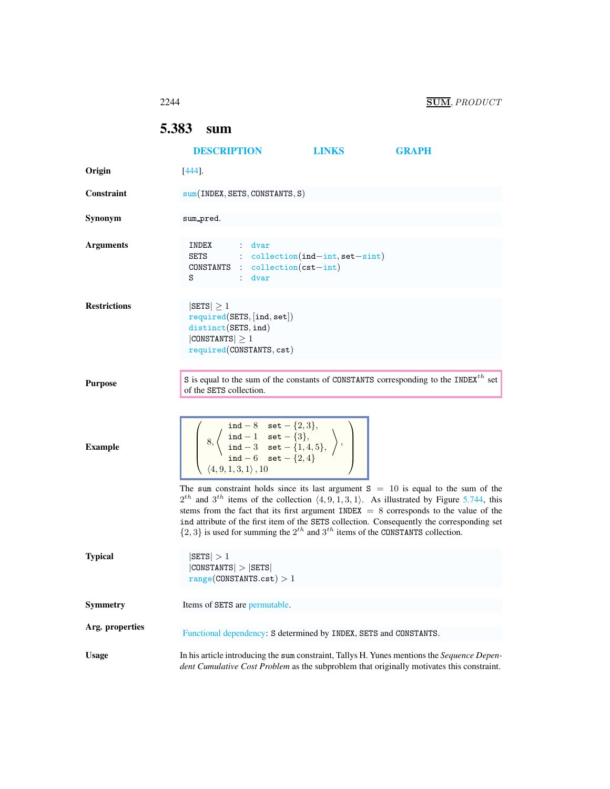## <span id="page-0-0"></span>5.383 sum

|                     | <b>DESCRIPTION</b>                                                                                                                                                                                                                                                                                                                                                                                                                                                                                  | <b>LINKS</b> | <b>GRAPH</b> |
|---------------------|-----------------------------------------------------------------------------------------------------------------------------------------------------------------------------------------------------------------------------------------------------------------------------------------------------------------------------------------------------------------------------------------------------------------------------------------------------------------------------------------------------|--------------|--------------|
| Origin              | $[444]$ .                                                                                                                                                                                                                                                                                                                                                                                                                                                                                           |              |              |
| <b>Constraint</b>   | sum(INDEX, SETS, CONSTANTS, S)                                                                                                                                                                                                                                                                                                                                                                                                                                                                      |              |              |
| Synonym             | sum_pred.                                                                                                                                                                                                                                                                                                                                                                                                                                                                                           |              |              |
| <b>Arguments</b>    | INDEX<br>: dvar<br>SETS : collection(ind-int, set-sint)<br>$CONFTANTS: collection(cst-int)$<br>$:$ dvar<br>S                                                                                                                                                                                                                                                                                                                                                                                        |              |              |
| <b>Restrictions</b> | $ \texttt{SETS}  \geq 1$<br>required(SETS, [ind, set])<br>distinct(SETS, ind)<br>$ {\tt CONSTANTS}  \geq 1$<br>required(CONSTANTS, cst)                                                                                                                                                                                                                                                                                                                                                             |              |              |
| <b>Purpose</b>      | S is equal to the sum of the constants of CONSTANTS corresponding to the INDEX <sup>th</sup> set<br>of the SETS collection.                                                                                                                                                                                                                                                                                                                                                                         |              |              |
| <b>Example</b>      | $\left( \begin{array}{c} \text{ind} -8 \quad \text{set} -\{2,3\}, \\ 8, \left\langle \begin{array}{c} \text{ind} -1 \quad \text{set} -\{3\}, \\ \text{ind} -3 \quad \text{set} -\{1,4,5\}, \\ \text{ind} -6 \quad \text{set} -\{2,4\} \end{array} \right\rangle, \end{array} \right)$                                                                                                                                                                                                               |              |              |
|                     | The sum constraint holds since its last argument $S = 10$ is equal to the sum of the<br>$2^{th}$ and $3^{th}$ items of the collection $\langle 4, 9, 1, 3, 1 \rangle$ . As illustrated by Figure 5.744, this<br>stems from the fact that its first argument INDEX $= 8$ corresponds to the value of the<br>ind attribute of the first item of the SETS collection. Consequently the corresponding set<br>$\{2,3\}$ is used for summing the $2^{th}$ and $3^{th}$ items of the CONSTANTS collection. |              |              |
| <b>Typical</b>      | SETS  > 1<br> CONSTANTS  >  SETS <br>range(CONSTANTS.cst) > 1                                                                                                                                                                                                                                                                                                                                                                                                                                       |              |              |
| Symmetry            | Items of SETS are permutable.                                                                                                                                                                                                                                                                                                                                                                                                                                                                       |              |              |
| Arg. properties     | Functional dependency: S determined by INDEX, SETS and CONSTANTS.                                                                                                                                                                                                                                                                                                                                                                                                                                   |              |              |
| <b>Usage</b>        | In his article introducing the sum constraint, Tallys H. Yunes mentions the Sequence Depen-<br>dent Cumulative Cost Problem as the subproblem that originally motivates this constraint.                                                                                                                                                                                                                                                                                                            |              |              |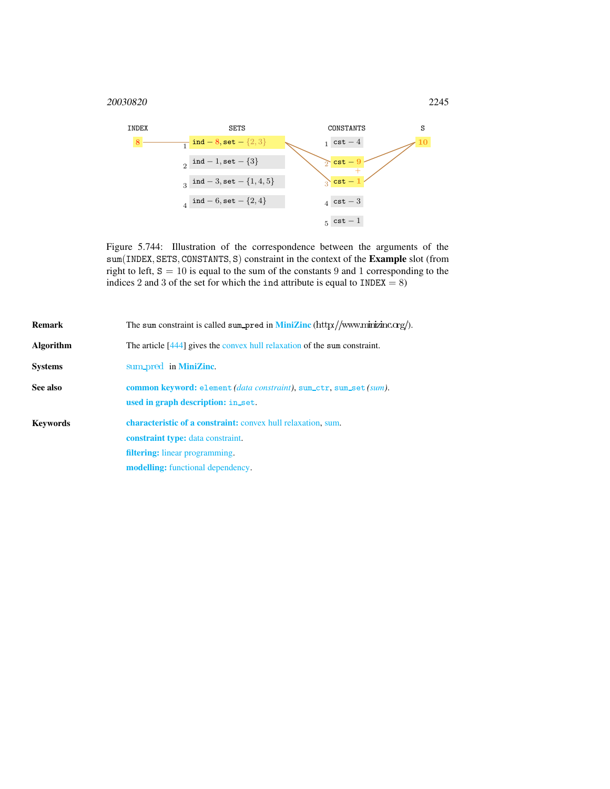

<span id="page-1-1"></span>Figure 5.744: Illustration of the correspondence between the arguments of the sum(INDEX, SETS, CONSTANTS, <sup>S</sup>) constraint in the context of the Example slot (from right to left,  $S = 10$  is equal to the sum of the constants 9 and 1 corresponding to the indices 2 and 3 of the set for which the ind attribute is equal to  $INDEX = 8$ )

<span id="page-1-0"></span>

| <b>Remark</b>   | The sum constraint is called sum pred in MiniZinc (http://www.minizinc.org/).                                                                                                                        |  |  |
|-----------------|------------------------------------------------------------------------------------------------------------------------------------------------------------------------------------------------------|--|--|
| Algorithm       | The article $[444]$ gives the convex hull relaxation of the sum constraint.                                                                                                                          |  |  |
| <b>Systems</b>  | sum pred in MiniZinc.                                                                                                                                                                                |  |  |
| See also        | common keyword: element (data constraint), sum_ctr, sum_set (sum).<br>used in graph description: in_set.                                                                                             |  |  |
| <b>Keywords</b> | <b>characteristic of a constraint:</b> convex hull relaxation, sum.<br><b>constraint type:</b> data constraint.<br><b>filtering:</b> linear programming.<br><b>modelling:</b> functional dependency. |  |  |
|                 |                                                                                                                                                                                                      |  |  |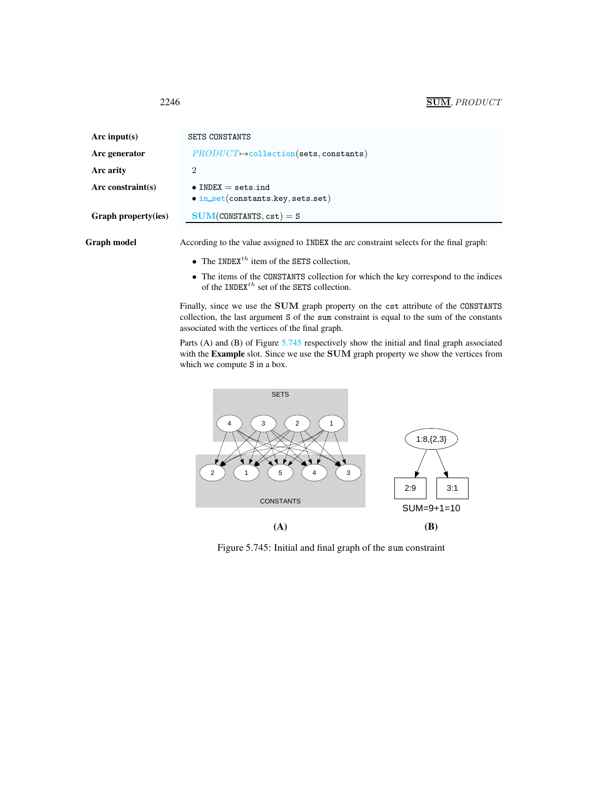<span id="page-2-0"></span>

| Arc input(s)        | <b>SETS CONSTANTS</b>                                                   |
|---------------------|-------------------------------------------------------------------------|
| Arc generator       | $PRODUCT \rightarrow collection(sets, constants)$                       |
| Arc arity           | $\dot{2}$                                                               |
| Arc constraint(s)   | $\bullet$ INDEX = sets.ind<br>$\bullet$ in_set(constants.key, sets.set) |
| Graph property(ies) | $SUM(CONTANTS, cst) = S$                                                |

Graph model According to the value assigned to INDEX the arc constraint selects for the final graph:

- The INDEX<sup>th</sup> item of the SETS collection,
- The items of the CONSTANTS collection for which the key correspond to the indices of the INDEX<sup>th</sup> set of the SETS collection.

Finally, since we use the SUM graph property on the cst attribute of the CONSTANTS collection, the last argument S of the sum constraint is equal to the sum of the constants associated with the vertices of the final graph.

Parts (A) and (B) of Figure [5.745](#page-2-1) respectively show the initial and final graph associated with the Example slot. Since we use the SUM graph property we show the vertices from which we compute S in a box.



<span id="page-2-1"></span>Figure 5.745: Initial and final graph of the sum constraint